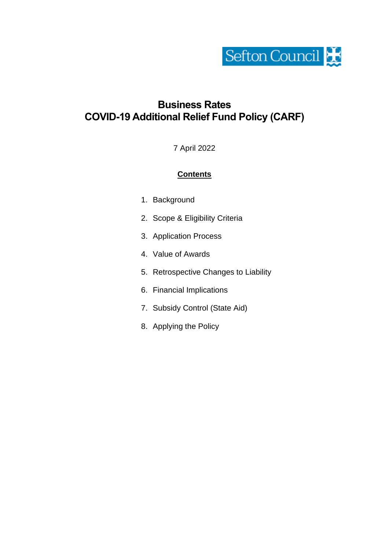

# **Business Rates COVID-19 Additional Relief Fund Policy (CARF)**

7 April 2022

# **Contents**

- 1. Background
- 2. Scope & Eligibility Criteria
- 3. Application Process
- 4. Value of Awards
- 5. Retrospective Changes to Liability
- 6. Financial Implications
- 7. Subsidy Control (State Aid)
- 8. Applying the Policy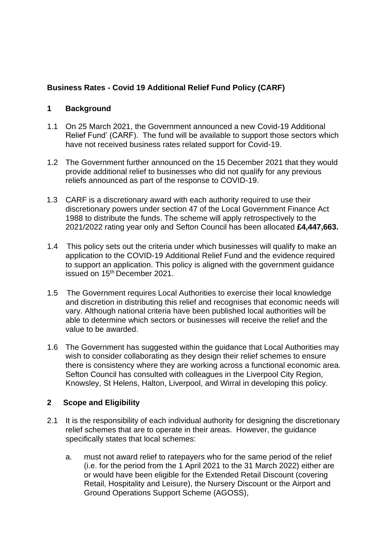# **Business Rates - Covid 19 Additional Relief Fund Policy (CARF)**

## **1 Background**

- 1.1 On 25 March 2021, the Government announced a new Covid-19 Additional Relief Fund' (CARF). The fund will be available to support those sectors which have not received business rates related support for Covid-19.
- 1.2 The Government further announced on the 15 December 2021 that they would provide additional relief to businesses who did not qualify for any previous reliefs announced as part of the response to COVID-19.
- 1.3 CARF is a discretionary award with each authority required to use their discretionary powers under section 47 of the Local Government Finance Act 1988 to distribute the funds. The scheme will apply retrospectively to the 2021/2022 rating year only and Sefton Council has been allocated **£4,447,663.**
- 1.4 This policy sets out the criteria under which businesses will qualify to make an application to the COVID-19 Additional Relief Fund and the evidence required to support an application. This policy is aligned with the government guidance issued on 15th December 2021.
- 1.5 The Government requires Local Authorities to exercise their local knowledge and discretion in distributing this relief and recognises that economic needs will vary. Although national criteria have been published local authorities will be able to determine which sectors or businesses will receive the relief and the value to be awarded.
- 1.6 The Government has suggested within the guidance that Local Authorities may wish to consider collaborating as they design their relief schemes to ensure there is consistency where they are working across a functional economic area. Sefton Council has consulted with colleagues in the Liverpool City Region, Knowsley, St Helens, Halton, Liverpool, and Wirral in developing this policy.

## **2 Scope and Eligibility**

- 2.1 It is the responsibility of each individual authority for designing the discretionary relief schemes that are to operate in their areas. However, the guidance specifically states that local schemes:
	- a. must not award relief to ratepayers who for the same period of the relief (i.e. for the period from the 1 April 2021 to the 31 March 2022) either are or would have been eligible for the Extended Retail Discount (covering Retail, Hospitality and Leisure), the Nursery Discount or the Airport and Ground Operations Support Scheme (AGOSS),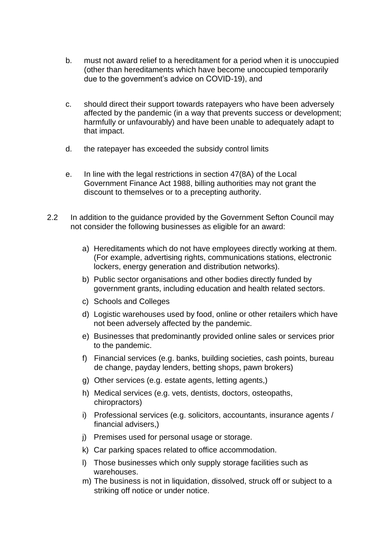- b. must not award relief to a hereditament for a period when it is unoccupied (other than hereditaments which have become unoccupied temporarily due to the government's advice on COVID-19), and
- c. should direct their support towards ratepayers who have been adversely affected by the pandemic (in a way that prevents success or development; harmfully or unfavourably) and have been unable to adequately adapt to that impact.
- d. the ratepayer has exceeded the subsidy control limits
- e. In line with the legal restrictions in section 47(8A) of the Local Government Finance Act 1988, billing authorities may not grant the discount to themselves or to a precepting authority.
- 2.2 In addition to the guidance provided by the Government Sefton Council may not consider the following businesses as eligible for an award:
	- a) Hereditaments which do not have employees directly working at them. (For example, advertising rights, communications stations, electronic lockers, energy generation and distribution networks).
	- b) Public sector organisations and other bodies directly funded by government grants, including education and health related sectors.
	- c) Schools and Colleges
	- d) Logistic warehouses used by food, online or other retailers which have not been adversely affected by the pandemic.
	- e) Businesses that predominantly provided online sales or services prior to the pandemic.
	- f) Financial services (e.g. banks, building societies, cash points, bureau de change, payday lenders, betting shops, pawn brokers)
	- g) Other services (e.g. estate agents, letting agents,)
	- h) Medical services (e.g. vets, dentists, doctors, osteopaths, chiropractors)
	- i) Professional services (e.g. solicitors, accountants, insurance agents / financial advisers,)
	- j) Premises used for personal usage or storage.
	- k) Car parking spaces related to office accommodation.
	- l) Those businesses which only supply storage facilities such as warehouses.
	- m) The business is not in liquidation, dissolved, struck off or subject to a striking off notice or under notice.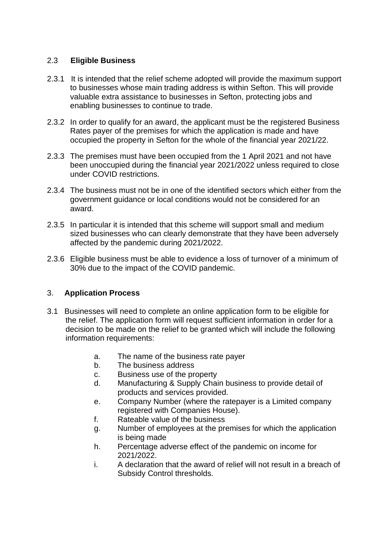#### 2.3 **Eligible Business**

- 2.3.1 It is intended that the relief scheme adopted will provide the maximum support to businesses whose main trading address is within Sefton. This will provide valuable extra assistance to businesses in Sefton, protecting jobs and enabling businesses to continue to trade.
- 2.3.2 In order to qualify for an award, the applicant must be the registered Business Rates payer of the premises for which the application is made and have occupied the property in Sefton for the whole of the financial year 2021/22.
- 2.3.3 The premises must have been occupied from the 1 April 2021 and not have been unoccupied during the financial year 2021/2022 unless required to close under COVID restrictions.
- 2.3.4 The business must not be in one of the identified sectors which either from the government guidance or local conditions would not be considered for an award.
- 2.3.5 In particular it is intended that this scheme will support small and medium sized businesses who can clearly demonstrate that they have been adversely affected by the pandemic during 2021/2022.
- 2.3.6 Eligible business must be able to evidence a loss of turnover of a minimum of 30% due to the impact of the COVID pandemic.

#### 3. **Application Process**

- 3.1 Businesses will need to complete an online application form to be eligible for the relief. The application form will request sufficient information in order for a decision to be made on the relief to be granted which will include the following information requirements:
	- a. The name of the business rate payer
	- b. The business address
	- c. Business use of the property
	- d. Manufacturing & Supply Chain business to provide detail of products and services provided.
	- e. Company Number (where the ratepayer is a Limited company registered with Companies House).
	- f. Rateable value of the business
	- g. Number of employees at the premises for which the application is being made
	- h. Percentage adverse effect of the pandemic on income for 2021/2022.
	- i. A declaration that the award of relief will not result in a breach of Subsidy Control thresholds.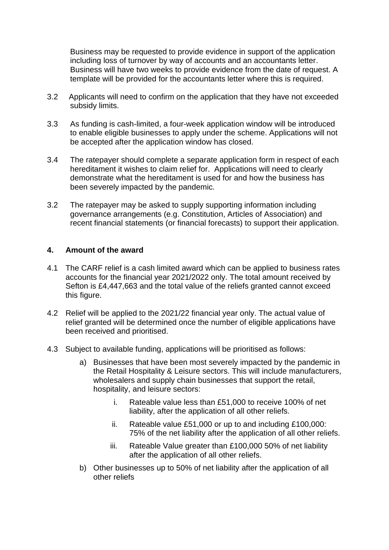Business may be requested to provide evidence in support of the application including loss of turnover by way of accounts and an accountants letter. Business will have two weeks to provide evidence from the date of request. A template will be provided for the accountants letter where this is required.

- 3.2 Applicants will need to confirm on the application that they have not exceeded subsidy limits.
- 3.3 As funding is cash-limited, a four-week application window will be introduced to enable eligible businesses to apply under the scheme. Applications will not be accepted after the application window has closed.
- 3.4 The ratepayer should complete a separate application form in respect of each hereditament it wishes to claim relief for. Applications will need to clearly demonstrate what the hereditament is used for and how the business has been severely impacted by the pandemic.
- 3.2 The ratepayer may be asked to supply supporting information including governance arrangements (e.g. Constitution, Articles of Association) and recent financial statements (or financial forecasts) to support their application.

#### **4. Amount of the award**

- 4.1 The CARF relief is a cash limited award which can be applied to business rates accounts for the financial year 2021/2022 only. The total amount received by Sefton is £4,447,663 and the total value of the reliefs granted cannot exceed this figure.
- 4.2 Relief will be applied to the 2021/22 financial year only. The actual value of relief granted will be determined once the number of eligible applications have been received and prioritised.
- 4.3 Subject to available funding, applications will be prioritised as follows:
	- a) Businesses that have been most severely impacted by the pandemic in the Retail Hospitality & Leisure sectors. This will include manufacturers, wholesalers and supply chain businesses that support the retail, hospitality, and leisure sectors:
		- i. Rateable value less than £51,000 to receive 100% of net liability, after the application of all other reliefs.
		- ii. Rateable value £51,000 or up to and including £100,000: 75% of the net liability after the application of all other reliefs.
		- iii. Rateable Value greater than £100,000 50% of net liability after the application of all other reliefs.
	- b) Other businesses up to 50% of net liability after the application of all other reliefs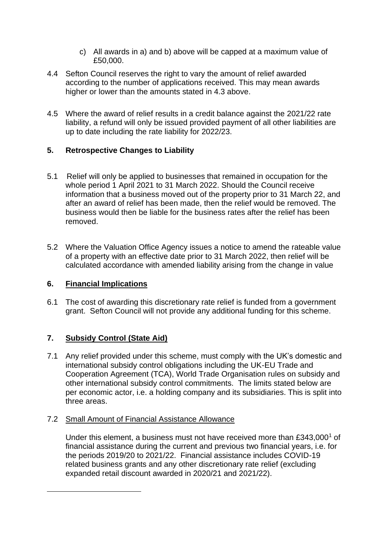- c) All awards in a) and b) above will be capped at a maximum value of £50,000.
- 4.4 Sefton Council reserves the right to vary the amount of relief awarded according to the number of applications received. This may mean awards higher or lower than the amounts stated in 4.3 above.
- 4.5 Where the award of relief results in a credit balance against the 2021/22 rate liability, a refund will only be issued provided payment of all other liabilities are up to date including the rate liability for 2022/23.

## **5. Retrospective Changes to Liability**

- 5.1 Relief will only be applied to businesses that remained in occupation for the whole period 1 April 2021 to 31 March 2022. Should the Council receive information that a business moved out of the property prior to 31 March 22, and after an award of relief has been made, then the relief would be removed. The business would then be liable for the business rates after the relief has been removed.
- 5.2 Where the Valuation Office Agency issues a notice to amend the rateable value of a property with an effective date prior to 31 March 2022, then relief will be calculated accordance with amended liability arising from the change in value

## **6. Financial Implications**

6.1 The cost of awarding this discretionary rate relief is funded from a government grant. Sefton Council will not provide any additional funding for this scheme.

# **7. Subsidy Control (State Aid)**

7.1 Any relief provided under this scheme, must comply with the UK's domestic and international subsidy control obligations including the UK-EU Trade and Cooperation Agreement (TCA), World Trade Organisation rules on subsidy and other international subsidy control commitments. The limits stated below are per economic actor, i.e. a holding company and its subsidiaries. This is split into three areas.

## 7.2 Small Amount of Financial Assistance Allowance

Under this element, a business must not have received more than £343,000<sup>1</sup> of financial assistance during the current and previous two financial years, i.e. for the periods 2019/20 to 2021/22. Financial assistance includes COVID-19 related business grants and any other discretionary rate relief (excluding expanded retail discount awarded in 2020/21 and 2021/22).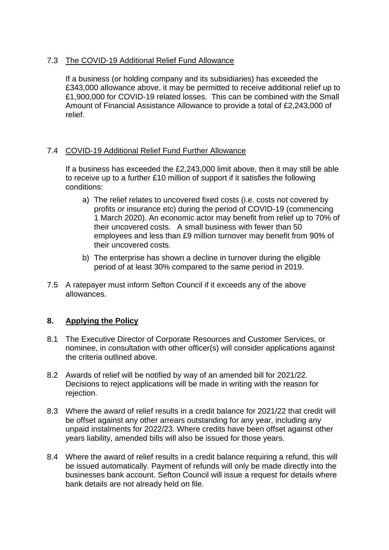## 7.3 The COVID-19 Additional Relief Fund Allowance

If a business (or holding company and its subsidiaries) has exceeded the £343,000 allowance above, it may be permitted to receive additional relief up to £1,900,000 for COVID-19 related losses. This can be combined with the Small Amount of Financial Assistance Allowance to provide a total of £2,243,000 of relief.

## 7.4 COVID-19 Additional Relief Fund Further Allowance

If a business has exceeded the £2,243,000 limit above, then it may still be able to receive up to a further £10 million of support if it satisfies the following conditions:

- a) The relief relates to uncovered fixed costs (i.e. costs not covered by profits or insurance etc) during the period of COVID-19 (commencing 1 March 2020). An economic actor may benefit from relief up to 70% of their uncovered costs. A small business with fewer than 50 employees and less than £9 million turnover may benefit from 90% of their uncovered costs.
- b) The enterprise has shown a decline in turnover during the eligible period of at least 30% compared to the same period in 2019.
- 7.5 A ratepayer must inform Sefton Council if it exceeds any of the above allowances.

## **8. Applying the Policy**

- 8.1 The Executive Director of Corporate Resources and Customer Services, or nominee, in consultation with other officer(s) will consider applications against the criteria outlined above.
- 8.2 Awards of relief will be notified by way of an amended bill for 2021/22. Decisions to reject applications will be made in writing with the reason for rejection.
- 8.3 Where the award of relief results in a credit balance for 2021/22 that credit will be offset against any other arrears outstanding for any year, including any unpaid instalments for 2022/23. Where credits have been offset against other years liability, amended bills will also be issued for those years.
- 8.4 Where the award of relief results in a credit balance requiring a refund, this will be issued automatically. Payment of refunds will only be made directly into the businesses bank account. Sefton Council will issue a request for details where bank details are not already held on file.